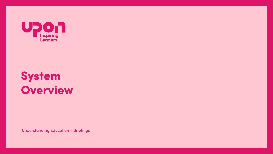

# **System<br>Overview**

**Understanding Education - Briefings**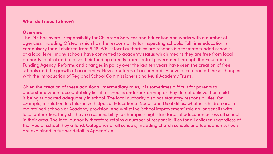# What do I need to know?

# **Overview**

The DfE has overall responsibility for Children's Services and Education and works with a number of agencies, including Ofsted, which has the responsibility for inspecting schools. Full time education is compulsory for all children from 5-18. Whilst local authorities are responsible for state funded schools at a local level, many schools have converted to academy status which means they are free from local authority control and receive their funding directly from central government through the Education Funding Agency. Reforms and changes in policy over the last ten years have seen the creation of free schools and the growth of academies. New structures of accountability have accompanied these changes with the introduction of Regional School Commissioners and Multi Academy Trusts.

Given the creation of these additional intermediary roles, it is sometimes difficult for parents to understand where accountability lies if a school is underperforming or they do not believe their child is being supported adequately in school. The local authority also has statutory responsibilities, for example, in relation to children with Special Educational Needs and Disabilities, whether children are in maintained schools or Academy provision. And whilst the 'school improvement' role no longer sits with local authorities, they still have a responsibility to champion high standards of education across all schools in their area. The local authority therefore retains a number of responsibilities for all children regardless of the type of school they attend. Categories of all schools, including church schools and foundation schools are explained in further detail in Appendix A.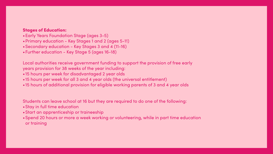# Stages of Education:

- •Early Years Foundation Stage (ages 3-5)
- •Primary education Key Stages 1 and 2 (ages 5-11)
- •Secondary education Key Stages 3 and 4 (11-16)
- •Further education Key Stage 5 (ages 16-18)

Local authorities receive government funding to support the provision of free early years provision for 38 weeks of the year including: •15 hours per week for disadvantaged 2 year olds

- •15 hours per week for all 3 and 4 year olds (the universal entitlement)
- •15 hours of additional provision for eligible working parents of 3 and 4 year olds

Students can leave school at 16 but they are required to do one of the following:

- •Stay in full time education
- •Start an apprenticeship or traineeship
- •Spend 20 hours or more a week working or volunteering, while in part time education or training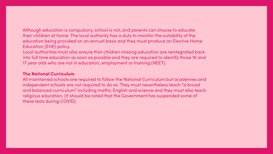Although education is compulsory, school is not, and parents can choose to educate their children at home. The local authority has a duty to monitor the suitability of the education being provided on an annual basis and they must produce an Elective Home **Education (EHE) policy.** 

Local authorities must also ensure that children missing education are reintegrated back into full time education as soon as possible and they are required to identify those 16 and 17 year olds who are not in education, employment or training (NEET).

# **The National Curriculum**

All maintained schools are required to follow the National Curriculum but academies and independent schools are not required to do so. They must nevertheless teach "a broad and balanced curriculum" including maths, English and science and they must also teach religious education. (It should be noted that the Government has suspended some of these tests during COVID).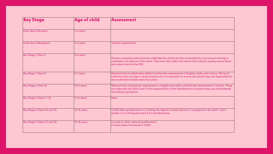| <b>Key Stage</b>               | <b>Age of child</b> | Assessment                                                                        |
|--------------------------------|---------------------|-----------------------------------------------------------------------------------|
| <b>Early Years (Nursery)</b>   | 3-4 years           |                                                                                   |
| <b>Early Years (Reception)</b> | 4-5 years           | <b>Teacher assessments</b>                                                        |
| Key Stage 1 (Year 1)           | 5-6 years           | Phonics screening che<br>available in all aspect<br>and submit data to th         |
| Key Stage 1 (Year 2)           | 6-7 years           | National tests (multipl<br>authority must arrang<br>are moderated at lea          |
| <b>Key Stage 2 (Year 6)</b>    | 10-11 years         | <b>National tests and ted</b><br>are externally set (SAT<br>according to guidance |
| Key Stage 3 (Years 7-9)        | $11-14$ years       | <b>None</b>                                                                       |
| Key Stage 4 (Years 10 and 11)  | 14-16 years         | <b>GCSEs (Now graded f</b><br>grades. 5 is a strong p                             |
| Key Stage 5 (Years 12 and 13)  | 16-18 years         | A Levels or other nation<br>(T Levels were introdu                                |

 $\rho$  aning check (schools undertake the checks but the local authority must ensure training is l aspects of the check. They must also collect the results from schools, quality assure these  $\mathsf{a}$  to the DfE)

(multiplication tables) and teacher assessments in English, maths and science. The local arrange a robust programme of moderation to ensure all schools they are responsible for d at least every four years.

and teacher assessments in English and maths, and teacher assessments in science. These set (SATs) and it is the responsibility of the Headteacher to ensure these are administered quidance.

graded from 9-1, 9 being the highest. Grades 9,8 and 7 correspond to the old A $^\star$  and A strong pass and 4 is a standard pass.

**Ner national qualifications** introduced in 2020)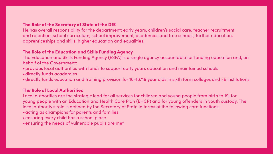# The Role of the Secretary of State at the DfE

He has overall responsibility for the department: early years, children's social care, teacher recruitment and retention, school curriculum, school improvement, academies and free schools, further education, apprenticeships and skills, higher education and equalities.

## The Role of the Education and Skills Funding Agency

The Education and Skills Funding Agency (ESFA) is a single agency accountable for funding education and, on behalf of the Government:

- •provides local authorities with funds to support early years education and maintained schools
- •directly funds academies
- 

•directly funds education and training provision for 16-18/19 year olds in sixth form colleges and FE institutions

# The Role of Local Authorities

Local authorities are the strategic lead for all services for children and young people from birth to 19, for young people with an Education and Health Care Plan (EHCP) and for young offenders in youth custody. The local authority's role is defined by the Secretary of State in terms of the following core functions: •acting as champions for parents and families

- •ensuring every child has a school place
- •ensuring the needs of vulnerable pupils are met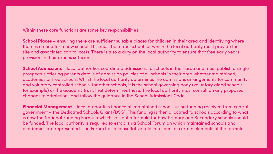Within these core functions are some key responsibilities:

School Places - ensuring there are sufficient suitable places for children in their area and identifying where there is a need for a new school. This must be a free school for which the local authority must provide the site and associated capital costs. There is also a duty on the local authority to ensure that free early years provision in their area is sufficient.

School Admissions - local authorities coordinate admissions to schools in their area and must publish a single prospectus offering parents details of admission policies of all schools in their area whether maintained, academies or free schools. Whilst the local authority determines the admissions arrangements for community and voluntary controlled schools, for other schools, it is the school governing body (voluntary aided schools, for example) or the academy trust, that determines these. The local authority must consult on any proposed changes to admissions and follow the guidance in the School Admissions Code.

**Financial Management** - local authorities finance all maintained schools using funding received from central government - the Dedicated Schools Grant (DSG). This funding is then allocated to schools according to what is now the National Funding Formula which sets out a formula for how Primary and Secondary schools should be funded. The local authority is required to establish a School Forum on which maintained schools and academies are represented. The Forum has a consultative role in respect of certain elements of the formula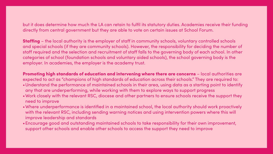but it does determine how much the LA can retain to fulfil its statutory duties. Academies receive their funding directly from central government but they are able to vote on certain issues at School Forum.

**Staffing** – the local authority is the employer of staff in community schools, voluntary controlled schools and special schools (if they are community schools). However, the responsibility for deciding the number of staff required and the selection and recruitment of staff falls to the governing body of each school. In other categories of school (foundation schools and voluntary aided schools), the school governing body is the employer. In academies, the employer is the academy trust.

Promoting high standards of education and intervening where there are concerns – local authorities are expected to act as "champions of high standards of education across their schools." They are required to: •Understand the performance of maintained schools in their area, using data as a starting point to identify any that are underperforming, while working with them to explore ways to support progress •Work closely with the relevant RSC, diocese and other partners to ensure schools receive the support they

•Where underperformance is identified in a maintained school, the local authority should work proactively with the relevant RSC, including sending warning notices and using intervention powers where this will

- 
- need to improve
- improve leadership and standards
- support other schools and enable other schools to access the support they need to improve

•Encourage good and outstanding maintained schools to take responsibility for their own improvement,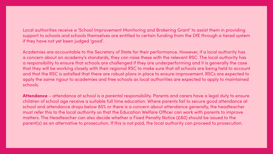Local authorities receive a 'School Improvement Monitoring and Brokering Grant' to assist them in providing support to schools and schools themselves are entitled to certain funding from the DfE through a tiered system if they have not yet been judged 'good'.

Academies are accountable to the Secretary of State for their performance. However, if a local authority has a concern about an academy's standards, they can raise these with the relevant RSC. The local authority has a responsibility to ensure that schools are challenged if they are underperforming and it is generally the case that they will be working closely with their regional RSC to make sure that all schools are being held to account and that the RSC is satisfied that there are robust plans in place to ensure improvement. RSCs are expected to apply the same rigour to academies and free schools as local authorities are expected to apply to maintained schools.

Attendance – attendance at school is a parental responsibility. Parents and carers have a legal duty to ensure children of school age receive a suitable full time education. Where parents fail to secure good attendance at school and attendance drops below 85% or there is a concern about attendance generally, the headteacher must refer this to the local authority so that the Education Welfare Officer can work with parents to improve matters. The Headteacher can also decide whether a Fixed Penalty Notice (£60) should be issued to the parent(s) as an alternative to prosecution. If this is not paid, the local authority can proceed to prosecution.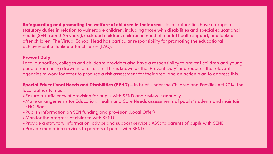Safeguarding and promoting the welfare of children in their area – local authorities have a range of statutory duties in relation to vulnerable children, including those with disabilities and special educational needs (SEN from 0-25 years), excluded children, children in need of mental health support, and looked after children. The Virtual School Head has particular responsibility for promoting the educational achievement of looked after children (LAC).

# Prevent Duty

Local authorities, colleges and childcare providers also have a responsibility to prevent children and young people from being drawn into terrorism. This is known as the 'Prevent Duty' and requires the relevant agencies to work together to produce a risk assessment for their area and an action plan to address this.

Special Educational Needs and Disabilities (SEND) – in brief, under the Children and Families Act 2014, the

local authority must:

•Make arrangements for Education, Health and Care Needs assessments of pupils/students and maintain

- •Ensure a sufficiency of provision for pupils with SEND and review it annually
- EHC Plans
- •Publish information on SEN funding and provision (Local Offer)
- •Monitor the progress of children with SEND
- •Provide a statutory information, advice and support service (IASS) to parents of pupils with SEND
- •Provide mediation services to parents of pupils with SEND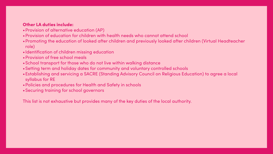# Other LA duties include:

•Promoting the education of looked after children and previously looked after children (Virtual Headteacher

- •Provision of alternative education (AP)
- •Provision of education for children with health needs who cannot attend school
- role)
- •Identification of children missing education
- •Provision of free school meals
- •School transport for those who do not live within walking distance
- •Setting term and holiday dates for community and voluntary controlled schools
- syllabus for RE
- •Policies and procedures for Health and Safety in schools
- •Securing training for school governors

•Establishing and servicing a SACRE (Standing Advisory Council on Religious Education) to agree a local

This list is not exhaustive but provides many of the key duties of the local authority.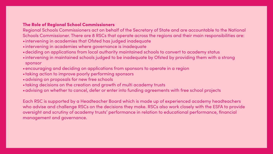# The Role of Regional School Commissioners

# Regional Schools Commissioners act on behalf of the Secretary of State and are accountable to the National

- Schools Commissioner. There are 8 RSCs that operate across the regions and their main responsibilities are:
	-
- •intervening in academies that Ofsted has judged inadequate
- •intervening in academies where governance is inadequate
- •deciding on applications from local authority maintained schools to convert to academy status
- •intervening in maintained schools judged to be inadequate by Ofsted by providing them with a strong sponsor
- •encouraging and deciding on applications from sponsors to operate in a region •taking action to improve poorly performing sponsors
- 
- •advising on proposals for new free schools
- •taking decisions on the creation and growth of multi academy trusts
- •advising on whether to cancel, defer or enter into funding agreements with free school projects

Each RSC is supported by a Headteacher Board which is made up of experienced academy headteachers who advise and challenge RSCs on the decisions they make. RSCs also work closely with the ESFA to provide oversight and scrutiny of academy trusts' performance in relation to educational performance, financial

management and governance.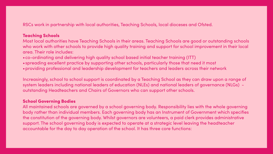# RSCs work in partnership with local authorities, Teaching Schools, local dioceses and Ofsted.

# Teaching Schools

Most local authorities have Teaching Schools in their areas. Teaching Schools are good or outstanding schools who work with other schools to provide high quality training and support for school improvement in their local area. Their role includes:

- •co-ordinating and delivering high quality school based initial teacher training (ITT)
- •spreading excellent practice by supporting other schools, particularly those that need it most
- 

•providing professional and leadership development for teachers and leaders across their network

Increasingly, school to school support is coordinated by a Teaching School as they can draw upon a range of system leaders including national leaders of education (NLEs) and national leaders of governance (NLGs) outstanding Headteachers and Chairs of Governors who can support other schools.

# School Governing Bodies

All maintained schools are governed by a school governing body. Responsibility lies with the whole governing body rather than individual members. Each governing body has an Instrument of Government which specifies the constitution of the governing body. Whilst governors are volunteers, a paid clerk provides administrative support. The school governing body is expected to operate at a strategic level leaving the headteacher accountable for the day to day operation of the school. It has three core functions: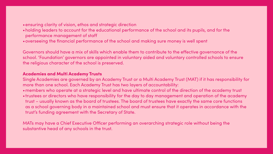# •ensuring clarity of vision, ethos and strategic direction

•holding leaders to account for the educational performance of the school and its pupils, and for the

- performance management of staff
- •overseeing the financial performance of the school and making sure money is well spent

Governors should have a mix of skills which enable them to contribute to the effective governance of the school. 'Foundation' governors are appointed in voluntary aided and voluntary controlled schools to ensure the religious character of the school is preserved.

# Academies and Multi Academy Trusts

Single Academies are governed by an Academy Trust or a Multi Academy Trust (MAT) if it has responsibility for more than one school. Each Academy Trust has two layers of accountability: •members who operate at a strategic level and have ultimate control of the direction of the academy trust •trustees or directors who have responsibility for the day to day management and operation of the academy trust – usually known as the board of trustees. The board of trustees have exactly the same core functions as a school governing body in a maintained school and must ensure that it operates in accordance with the trust's funding agreement with the Secretary of State.

MATs may have a Chief Executive Officer performing an overarching strategic role without being the substantive head of any schools in the trust.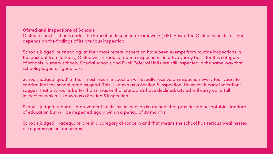# Ofsted and Inspections of Schools

# Ofsted inspects schools under the Education Inspection Framework (EIF). How often Ofsted inspects a school

depends on the findings of its previous inspection.

Schools judged 'outstanding' at their most recent inspection have been exempt from routine inspections in the past but from January, Ofsted will introduce routine inspections on a five yearly basis for this category of schools. Nursery schools, Special schools and Pupil Referral Units are still inspected in the same way that schools judged as 'good' are.

Schools judged 'good' at their most recent inspection will usually receive an inspection every four years to confirm that the school remains good. This is known as a Section 8 inspection. However, if early indications suggest that a school is better than it was or that standards have declined, Ofsted will carry out a full inspection which is known as a Section 5 inspection.

Schools judged 'requires improvement' at its last inspection is a school that provides an acceptable standard of education but will be inspected again within a period of 30 months.

Schools judged 'inadequate' are in a category of concern and that means the school has serious weaknesses or requires special measures.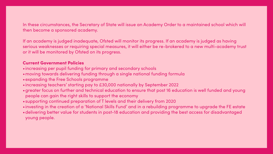In these circumstances, the Secretary of State will issue an Academy Order to a maintained school which will then become a sponsored academy.

If an academy is judged inadequate, Ofsted will monitor its progress. If an academy is judged as having serious weaknesses or requiring special measures, it will either be re-brokered to a new multi-academy trust or it will be monitored by Ofsted on its progress.

# Current Government Policies

•greater focus on further and technical education to ensure that post 16 education is well funded and young

- •increasing per pupil funding for primary and secondary schools
- •moving towards delivering funding through a single national funding formula
- •expanding the Free Schools programme
- •increasing teachers' starting pay to £30,000 nationally by September 2022
- people can gain the right skills to support the economy
- •supporting continued preparation of T levels and their delivery from 2020
- 
- young people.

•investing in the creation of a 'National Skills Fund' and in a rebuilding programme to upgrade the FE estate •delivering better value for students in post-18 education and providing the best access for disadvantaged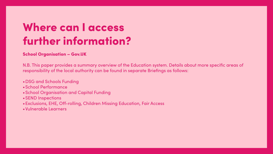# Where can I access further information?

# School Organisation – Gov.UK

N.B. This paper provides a summary overview of the Education system. Details about more specific areas of responsibility of the local authority can be found in separate Briefings as follows:

- •DSG and Schools Funding
- •School Performance
- •School Organisation and Capital Funding
- •SEND Inspections
- •Exclusions, EHE, Off-rolling, Children Missing Education, Fair Access
- •Vulnerable Learners